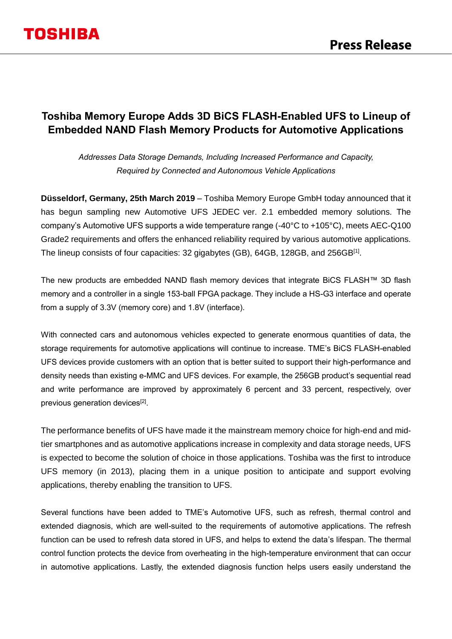### **Toshiba Memory Europe Adds 3D BiCS FLASH-Enabled UFS to Lineup of Embedded NAND Flash Memory Products for Automotive Applications**

*Addresses Data Storage Demands, Including Increased Performance and Capacity, Required by Connected and Autonomous Vehicle Applications*

**Düsseldorf, Germany, 25th March 2019** – Toshiba Memory Europe GmbH today announced that it has begun sampling new Automotive UFS JEDEC ver. 2.1 embedded memory solutions. The company's Automotive UFS supports a wide temperature range (-40°C to +105°C), meets AEC-Q100 Grade2 requirements and offers the enhanced reliability required by various automotive applications. The lineup consists of four capacities: 32 gigabytes (GB), 64GB, 128GB, and 256GB<sup>[1]</sup>.

The new products are embedded NAND flash memory devices that integrate BiCS FLASH™ 3D flash memory and a controller in a single 153-ball FPGA package. They include a HS-G3 interface and operate from a supply of 3.3V (memory core) and 1.8V (interface).

With connected cars and autonomous vehicles expected to generate enormous quantities of data, the storage requirements for automotive applications will continue to increase. TME's BiCS FLASH-enabled UFS devices provide customers with an option that is better suited to support their high-performance and density needs than existing e-MMC and UFS devices. For example, the 256GB product's sequential read and write performance are improved by approximately 6 percent and 33 percent, respectively, over previous generation devices<sup>[2]</sup>.

The performance benefits of UFS have made it the mainstream memory choice for high-end and midtier smartphones and as automotive applications increase in complexity and data storage needs, UFS is expected to become the solution of choice in those applications. Toshiba was the first to introduce UFS memory (in 2013), placing them in a unique position to anticipate and support evolving applications, thereby enabling the transition to UFS.

Several functions have been added to TME's Automotive UFS, such as refresh, thermal control and extended diagnosis, which are well-suited to the requirements of automotive applications. The refresh function can be used to refresh data stored in UFS, and helps to extend the data's lifespan. The thermal control function protects the device from overheating in the high-temperature environment that can occur in automotive applications. Lastly, the extended diagnosis function helps users easily understand the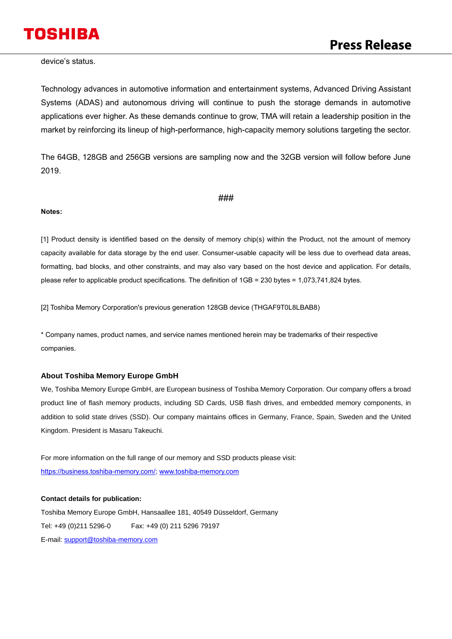# **TOSHIBA**

device's status.

Technology advances in automotive information and entertainment systems, Advanced Driving Assistant Systems (ADAS) and autonomous driving will continue to push the storage demands in automotive applications ever higher. As these demands continue to grow, TMA will retain a leadership position in the market by reinforcing its lineup of high-performance, high-capacity memory solutions targeting the sector.

The 64GB, 128GB and 256GB versions are sampling now and the 32GB version will follow before June 2019.

#### ###

#### **Notes:**

[1] Product density is identified based on the density of memory chip(s) within the Product, not the amount of memory capacity available for data storage by the end user. Consumer-usable capacity will be less due to overhead data areas, formatting, bad blocks, and other constraints, and may also vary based on the host device and application. For details, please refer to applicable product specifications. The definition of 1GB = 230 bytes = 1,073,741,824 bytes.

[2] Toshiba Memory Corporation's previous generation 128GB device (THGAF9T0L8LBAB8)

\* Company names, product names, and service names mentioned herein may be trademarks of their respective companies.

#### **About Toshiba Memory Europe GmbH**

We, Toshiba Memory Europe GmbH, are European business of Toshiba Memory Corporation. Our company offers a broad product line of flash memory products, including SD Cards, USB flash drives, and embedded memory components, in addition to solid state drives (SSD). Our company maintains offices in Germany, France, Spain, Sweden and the United Kingdom. President is Masaru Takeuchi.

For more information on the full range of our memory and SSD products please visit: [https://business.toshiba-memory.com/;](https://business.toshiba-memory.com/) [www.toshiba-memory.com](http://www.toshiba-memory.com/)

#### **Contact details for publication:**

Toshiba Memory Europe GmbH, Hansaallee 181, 40549 Düsseldorf, Germany Tel: +49 (0)211 5296-0 Fax: +49 (0) 211 5296 79197 E-mail: [support@toshiba-memory.com](mailto:support@toshiba-memory.com)